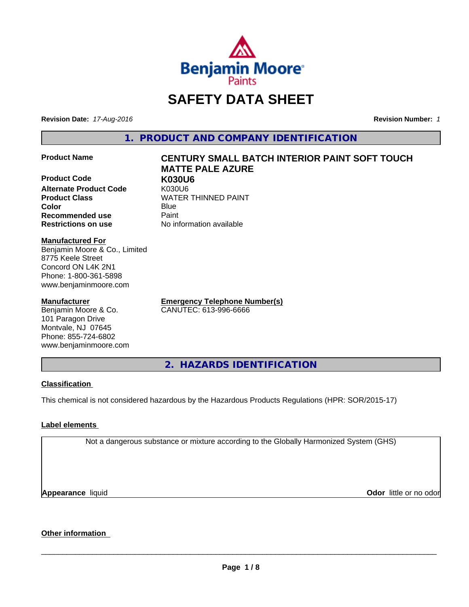

# **SAFETY DATA SHEET**

**Revision Date:** *17-Aug-2016* **Revision Number:** *1*

**1. PRODUCT AND COMPANY IDENTIFICATION**

**Product Code K030U6 Alternate Product Code 6 K030U6<br>Product Class 6 KNATER Color** Blue Blue **Recommended use Paint** 

Benjamin Moore & Co., Limited

**Manufactured For**

8775 Keele Street Concord ON L4K 2N1 Phone: 1-800-361-5898 www.benjaminmoore.com

**Manufacturer**

Benjamin Moore & Co. 101 Paragon Drive Montvale, NJ 07645 Phone: 855-724-6802 www.benjaminmoore.com

# **Product Name CENTURY SMALL BATCH INTERIOR PAINT SOFT TOUCH MATTE PALE AZURE**

**WATER THINNED PAINT Restrictions on use** No information available

> **Emergency Telephone Number(s)** CANUTEC: 613-996-6666

**2. HAZARDS IDENTIFICATION**

### **Classification**

This chemical is not considered hazardous by the Hazardous Products Regulations (HPR: SOR/2015-17)

#### **Label elements**

Not a dangerous substance or mixture according to the Globally Harmonized System (GHS)

**Appearance** liquid

**Odor** little or no odor

# **Other information**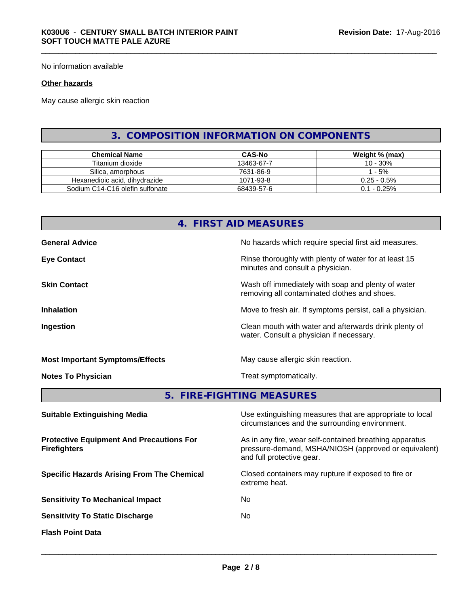No information available

#### **Other hazards**

May cause allergic skin reaction

# **3. COMPOSITION INFORMATION ON COMPONENTS**

| <b>Chemical Name</b>            | <b>CAS-No</b> | Weight % (max) |
|---------------------------------|---------------|----------------|
| Titanium dioxide                | 13463-67-7    | 10 - 30%       |
| Silica, amorphous               | 7631-86-9     | - 5%           |
| Hexanedioic acid, dihydrazide   | 1071-93-8     | $0.25 - 0.5\%$ |
| Sodium C14-C16 olefin sulfonate | 68439-57-6    | $0.1 - 0.25\%$ |

# **4. FIRST AID MEASURES**

| <b>General Advice</b>                  | No hazards which require special first aid measures.                                               |
|----------------------------------------|----------------------------------------------------------------------------------------------------|
| <b>Eye Contact</b>                     | Rinse thoroughly with plenty of water for at least 15<br>minutes and consult a physician.          |
| <b>Skin Contact</b>                    | Wash off immediately with soap and plenty of water<br>removing all contaminated clothes and shoes. |
| <b>Inhalation</b>                      | Move to fresh air. If symptoms persist, call a physician.                                          |
| Ingestion                              | Clean mouth with water and afterwards drink plenty of<br>water. Consult a physician if necessary.  |
| <b>Most Important Symptoms/Effects</b> | May cause allergic skin reaction.                                                                  |
| <b>Notes To Physician</b>              | Treat symptomatically.                                                                             |

**5. FIRE-FIGHTING MEASURES**

| <b>Suitable Extinguishing Media</b>                                    | Use extinguishing measures that are appropriate to local<br>circumstances and the surrounding environment.                                   |
|------------------------------------------------------------------------|----------------------------------------------------------------------------------------------------------------------------------------------|
| <b>Protective Equipment And Precautions For</b><br><b>Firefighters</b> | As in any fire, wear self-contained breathing apparatus<br>pressure-demand, MSHA/NIOSH (approved or equivalent)<br>and full protective gear. |
| <b>Specific Hazards Arising From The Chemical</b>                      | Closed containers may rupture if exposed to fire or<br>extreme heat.                                                                         |
| <b>Sensitivity To Mechanical Impact</b>                                | No.                                                                                                                                          |
| <b>Sensitivity To Static Discharge</b>                                 | No.                                                                                                                                          |
| <b>Flash Point Data</b>                                                |                                                                                                                                              |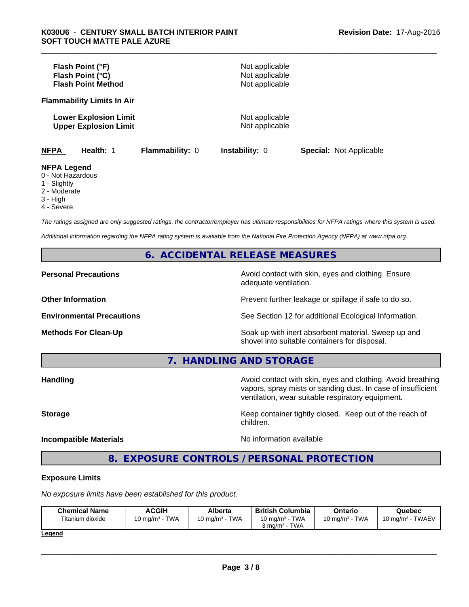|                                                         | Flash Point (°F)<br>Flash Point (°C)<br><b>Flash Point Method</b> |                        | Not applicable<br>Not applicable<br>Not applicable |                                |  |
|---------------------------------------------------------|-------------------------------------------------------------------|------------------------|----------------------------------------------------|--------------------------------|--|
|                                                         | <b>Flammability Limits In Air</b>                                 |                        |                                                    |                                |  |
|                                                         | <b>Lower Explosion Limit</b><br><b>Upper Explosion Limit</b>      |                        | Not applicable<br>Not applicable                   |                                |  |
| <b>NFPA</b>                                             | Health: 1                                                         | <b>Flammability: 0</b> | <b>Instability: 0</b>                              | <b>Special: Not Applicable</b> |  |
| <b>NFPA Legend</b><br>0 - Not Hazardous<br>1 - Slightly |                                                                   |                        |                                                    |                                |  |

- 
- 2 Moderate
- 3 High
- 4 Severe

*The ratings assigned are only suggested ratings, the contractor/employer has ultimate responsibilities for NFPA ratings where this system is used.*

*Additional information regarding the NFPA rating system is available from the National Fire Protection Agency (NFPA) at www.nfpa.org.*

### **6. ACCIDENTAL RELEASE MEASURES**

**Personal Precautions Avoid contact with skin, eyes and clothing. Ensure** Avoid contact with skin, eyes and clothing. Ensure adequate ventilation.

**Other Information Discription Prevent further leakage or spillage if safe to do so.** 

**Environmental Precautions** See Section 12 for additional Ecological Information.

**Methods For Clean-Up Soak** up with inert absorbent material. Sweep up and shovel into suitable containers for disposal.

**7. HANDLING AND STORAGE**

**Handling Handling Avoid contact with skin, eyes and clothing. Avoid breathing** vapors, spray mists or sanding dust. In case of insufficient ventilation, wear suitable respiratory equipment.

**Storage Keep container tightly closed. Keep out of the reach of Keep** container tightly closed. Keep out of the reach of

#### **Incompatible Materials** Noinformation available

 $\overline{\phantom{a}}$  ,  $\overline{\phantom{a}}$  ,  $\overline{\phantom{a}}$  ,  $\overline{\phantom{a}}$  ,  $\overline{\phantom{a}}$  ,  $\overline{\phantom{a}}$  ,  $\overline{\phantom{a}}$  ,  $\overline{\phantom{a}}$  ,  $\overline{\phantom{a}}$  ,  $\overline{\phantom{a}}$  ,  $\overline{\phantom{a}}$  ,  $\overline{\phantom{a}}$  ,  $\overline{\phantom{a}}$  ,  $\overline{\phantom{a}}$  ,  $\overline{\phantom{a}}$  ,  $\overline{\phantom{a}}$ 

**8. EXPOSURE CONTROLS / PERSONAL PROTECTION**

children.

#### **Exposure Limits**

*No exposure limits have been established for this product.*

| <b>Chemical Name</b> | ACGIH                     | Alberta                    | <b>British Columbia</b>                                         | Ontario                           | Quebec                       |
|----------------------|---------------------------|----------------------------|-----------------------------------------------------------------|-----------------------------------|------------------------------|
| Titanium dioxide     | <b>TWA</b><br>10 mg/m $3$ | <b>TWA</b><br>10 mg/m $^3$ | <b>TWA</b><br>10 ma/m $3$<br><b>TWA</b><br>$3 \text{ ma/m}^3$ - | <b>TWA</b><br>$10 \text{ ma/m}^3$ | <b>TWAEV</b><br>10 ma/m $^3$ |
| المستحدث             |                           |                            |                                                                 |                                   |                              |

**Legend**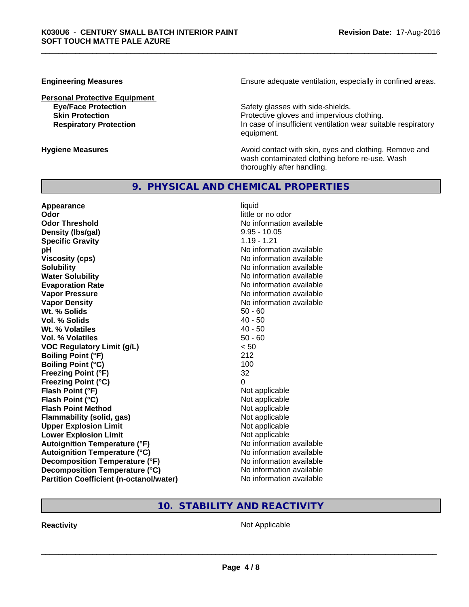#### **Personal Protective Equipment**

**Engineering Measures Ensure** Ensure adequate ventilation, especially in confined areas.

**Eye/Face Protection Safety glasses with side-shields. Skin Protection Protective gloves and impervious clothing. Respiratory Protection In case of insufficient ventilation wear suitable respiratory** equipment.

**Hygiene Measures Avoid contact with skin, eyes and clothing. Remove and Avoid contact with skin, eyes and clothing. Remove and Avoid contact with skin, eyes and clothing. Remove and** wash contaminated clothing before re-use. Wash thoroughly after handling.

# **9. PHYSICAL AND CHEMICAL PROPERTIES**

**Appearance** liquid **Odor** little or no odor **Odor Threshold No information available No information available Density (lbs/gal)** 9.95 - 10.05 **Specific Gravity** 1.19 - 1.21 **pH pH**  $\blacksquare$ **Viscosity (cps)** No information available<br> **Solubility** No information available<br>
No information available **Water Solubility Water Solubility No information available Evaporation Rate No information available No information available Vapor Pressure** No information available **Vapor Density No information available No information available Wt. % Solids 50 - 60<br>
<b>Vol. % Solids** 50 - 60<br> **Vol. % Solids** 50 **Vol. % Solids** 40 - 50<br> **Wt. % Volatiles** 40 - 50 **Wt. % Volatiles Vol. % Volatiles** 50 - 60 **VOC Regulatory Limit (g/L)** < 50 **Boiling Point (°F)** 212 **Boiling Point (°C)** 100 **Freezing Point (°F)** 32 **Freezing Point (°C)** 0 **Flash Point (°F)** Not applicable **Flash Point (°C)** Not applicable **Flash Point Method** Not applicable **Flammability (solid, gas)**<br> **Compare Upper Explosion Limit**<br>
Not applicable<br>
Not applicable **Upper Explosion Limit Lower Explosion Limit**  $\qquad \qquad$  Not applicable **Autoignition Temperature (°F)**<br> **Autoignition Temperature (°C)** No information available **Autoignition Temperature (°C) Decomposition Temperature (°F)** No information available **Decomposition Temperature (°C)** No information available **Partition Coefficient (n-octanol/water) No information available** 

No information available

# **10. STABILITY AND REACTIVITY**

**Reactivity Not Applicable Not Applicable**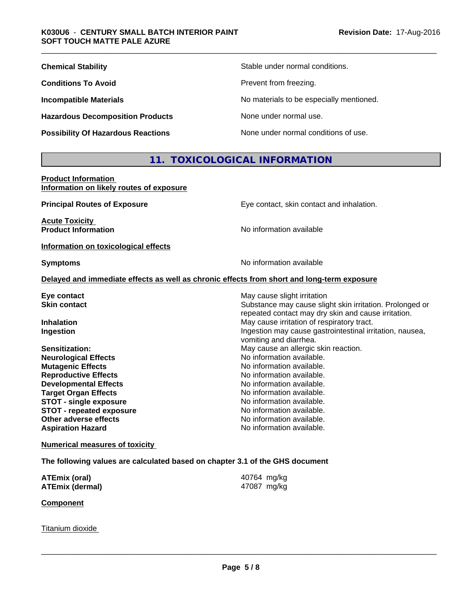| <b>Chemical Stability</b>                 | Stable under normal conditions.          |
|-------------------------------------------|------------------------------------------|
| <b>Conditions To Avoid</b>                | Prevent from freezing.                   |
| <b>Incompatible Materials</b>             | No materials to be especially mentioned. |
| <b>Hazardous Decomposition Products</b>   | None under normal use.                   |
| <b>Possibility Of Hazardous Reactions</b> | None under normal conditions of use.     |

# **11. TOXICOLOGICAL INFORMATION**

**Product Information Information on likely routes of exposure**

| <b>Principal Routes of Exposure</b>                                                        | Eye contact, skin contact and inhalation.                                                                       |
|--------------------------------------------------------------------------------------------|-----------------------------------------------------------------------------------------------------------------|
| <b>Acute Toxicity</b><br><b>Product Information</b>                                        | No information available                                                                                        |
| Information on toxicological effects                                                       |                                                                                                                 |
| <b>Symptoms</b>                                                                            | No information available                                                                                        |
| Delayed and immediate effects as well as chronic effects from short and long-term exposure |                                                                                                                 |
| Eye contact                                                                                | May cause slight irritation                                                                                     |
| <b>Skin contact</b>                                                                        | Substance may cause slight skin irritation. Prolonged or<br>repeated contact may dry skin and cause irritation. |
| <b>Inhalation</b>                                                                          | May cause irritation of respiratory tract.                                                                      |
| <b>Ingestion</b>                                                                           | Ingestion may cause gastrointestinal irritation, nausea,<br>vomiting and diarrhea.                              |
| Sensitization:                                                                             | May cause an allergic skin reaction.                                                                            |
| <b>Neurological Effects</b>                                                                | No information available.                                                                                       |
| <b>Mutagenic Effects</b>                                                                   | No information available.                                                                                       |
| <b>Reproductive Effects</b>                                                                | No information available.                                                                                       |
| <b>Developmental Effects</b>                                                               | No information available.                                                                                       |
| <b>Target Organ Effects</b>                                                                | No information available.                                                                                       |
| <b>STOT - single exposure</b>                                                              | No information available.                                                                                       |
| <b>STOT - repeated exposure</b>                                                            | No information available.                                                                                       |
| Other adverse effects                                                                      | No information available.                                                                                       |
| <b>Aspiration Hazard</b>                                                                   | No information available.                                                                                       |
|                                                                                            |                                                                                                                 |

**Numerical measures of toxicity**

**The following values are calculated based on chapter 3.1 of the GHS document**

| ATEmix (oral)   | 40764 mg/kg |
|-----------------|-------------|
| ATEmix (dermal) | 47087 mg/kg |

**Component**

Titanium dioxide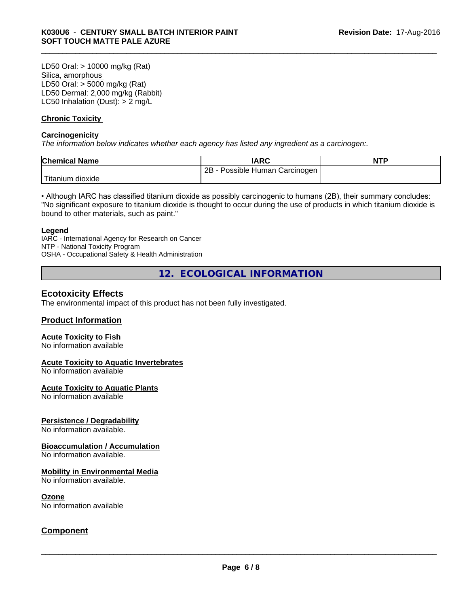LD50 Oral: > 10000 mg/kg (Rat) Silica, amorphous LD50 Oral: > 5000 mg/kg (Rat) LD50 Dermal: 2,000 mg/kg (Rabbit) LC50 Inhalation (Dust): > 2 mg/L

#### **Chronic Toxicity**

#### **Carcinogenicity**

*The information below indicateswhether each agency has listed any ingredient as a carcinogen:.*

| <b>Chemical Name</b>          | <b>IARC</b>                     | <b>NTF</b> |
|-------------------------------|---------------------------------|------------|
|                               | 2B<br>Possible Human Carcinogen |            |
| l ma<br>⊧dioxide<br>I itanium |                                 |            |

• Although IARC has classified titanium dioxide as possibly carcinogenic to humans (2B), their summary concludes: "No significant exposure to titanium dioxide is thought to occur during the use of products in which titanium dioxide is bound to other materials, such as paint."

#### **Legend**

IARC - International Agency for Research on Cancer NTP - National Toxicity Program OSHA - Occupational Safety & Health Administration

**12. ECOLOGICAL INFORMATION**

### **Ecotoxicity Effects**

The environmental impact of this product has not been fully investigated.

### **Product Information**

#### **Acute Toxicity to Fish**

No information available

#### **Acute Toxicity to Aquatic Invertebrates**

No information available

#### **Acute Toxicity to Aquatic Plants**

No information available

#### **Persistence / Degradability**

No information available.

#### **Bioaccumulation / Accumulation**

No information available.

#### **Mobility in Environmental Media**

No information available.

#### **Ozone**

No information available

### **Component**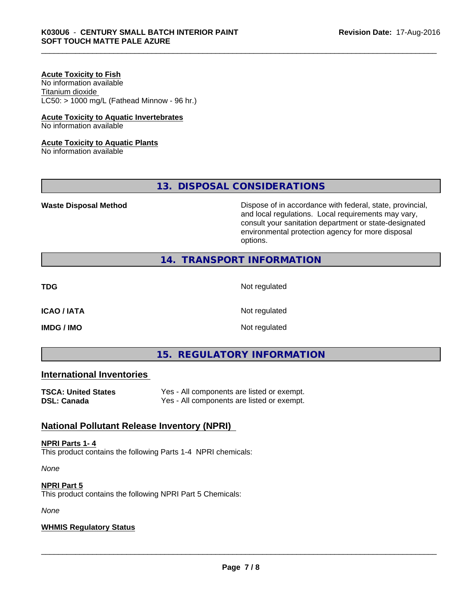#### **Acute Toxicity to Fish**

No information available Titanium dioxide  $LC50:$  > 1000 mg/L (Fathead Minnow - 96 hr.)

#### **Acute Toxicity to Aquatic Invertebrates**

No information available

#### **Acute Toxicity to Aquatic Plants**

No information available

**13. DISPOSAL CONSIDERATIONS**

**Waste Disposal Method Dispose of in accordance with federal, state, provincial,** and local regulations. Local requirements may vary, consult your sanitation department or state-designated environmental protection agency for more disposal options.

## **14. TRANSPORT INFORMATION**

**TDG** Not regulated

**ICAO / IATA** Not regulated

**IMDG / IMO** Not regulated

# **15. REGULATORY INFORMATION**

## **International Inventories**

| TSCA: United States | Yes - All components are listed or exempt. |
|---------------------|--------------------------------------------|
| DSL: Canada         | Yes - All components are listed or exempt. |

# **National Pollutant Release Inventory (NPRI)**

#### **NPRI Parts 1- 4**

This product contains the following Parts 1-4 NPRI chemicals:

*None*

# **NPRI Part 5**

This product contains the following NPRI Part 5 Chemicals:

*None*

#### **WHMIS Regulatory Status**